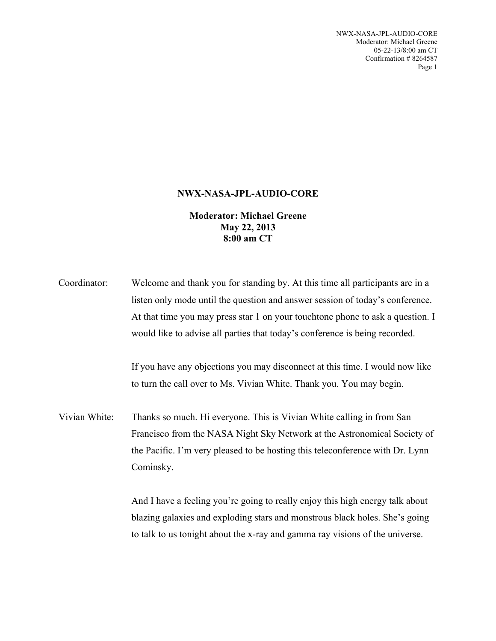NWX-NASA-JPL-AUDIO-CORE Moderator: Michael Greene 05-22-13/8:00 am CT Confirmation # 8264587 Page 1

## **NWX-NASA-JPL-AUDIO-CORE**

**Moderator: Michael Greene May 22, 2013 8:00 am CT**

| Coordinator:  | Welcome and thank you for standing by. At this time all participants are in a                                                                                                                                                                   |
|---------------|-------------------------------------------------------------------------------------------------------------------------------------------------------------------------------------------------------------------------------------------------|
|               | listen only mode until the question and answer session of today's conference.                                                                                                                                                                   |
|               | At that time you may press star 1 on your touchtone phone to ask a question. I                                                                                                                                                                  |
|               | would like to advise all parties that today's conference is being recorded.                                                                                                                                                                     |
|               | If you have any objections you may disconnect at this time. I would now like<br>to turn the call over to Ms. Vivian White. Thank you. You may begin.                                                                                            |
| Vivian White: | Thanks so much. Hi everyone. This is Vivian White calling in from San<br>Francisco from the NASA Night Sky Network at the Astronomical Society of<br>the Pacific. I'm very pleased to be hosting this teleconference with Dr. Lynn<br>Cominsky. |
|               |                                                                                                                                                                                                                                                 |

And I have a feeling you're going to really enjoy this high energy talk about blazing galaxies and exploding stars and monstrous black holes. She's going to talk to us tonight about the x-ray and gamma ray visions of the universe.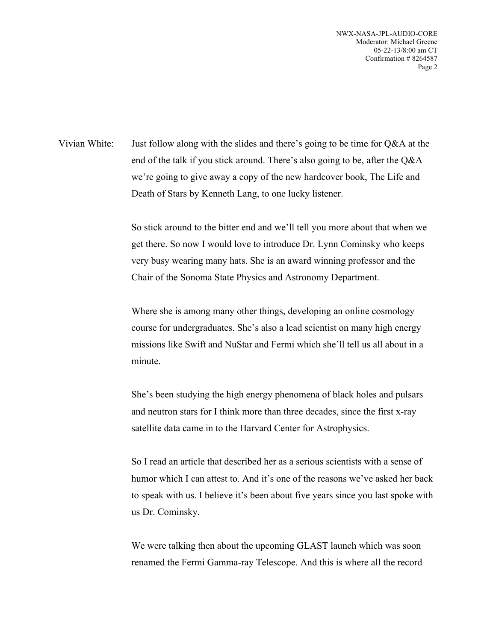NWX-NASA-JPL-AUDIO-CORE Moderator: Michael Greene 05-22-13/8:00 am CT Confirmation # 8264587 Page 2

Vivian White: Just follow along with the slides and there's going to be time for Q&A at the end of the talk if you stick around. There's also going to be, after the Q&A we're going to give away a copy of the new hardcover book, The Life and Death of Stars by Kenneth Lang, to one lucky listener.

> So stick around to the bitter end and we'll tell you more about that when we get there. So now I would love to introduce Dr. Lynn Cominsky who keeps very busy wearing many hats. She is an award winning professor and the Chair of the Sonoma State Physics and Astronomy Department.

Where she is among many other things, developing an online cosmology course for undergraduates. She's also a lead scientist on many high energy missions like Swift and NuStar and Fermi which she'll tell us all about in a minute.

She's been studying the high energy phenomena of black holes and pulsars and neutron stars for I think more than three decades, since the first x-ray satellite data came in to the Harvard Center for Astrophysics.

So I read an article that described her as a serious scientists with a sense of humor which I can attest to. And it's one of the reasons we've asked her back to speak with us. I believe it's been about five years since you last spoke with us Dr. Cominsky.

We were talking then about the upcoming GLAST launch which was soon renamed the Fermi Gamma-ray Telescope. And this is where all the record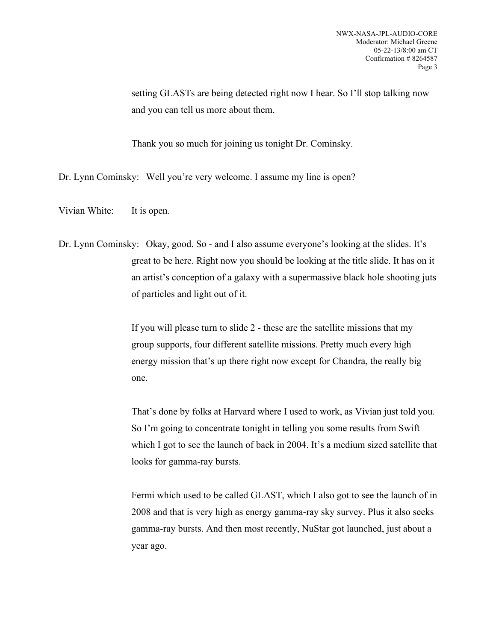setting GLASTs are being detected right now I hear. So I'll stop talking now and you can tell us more about them.

Thank you so much for joining us tonight Dr. Cominsky.

Dr. Lynn Cominsky: Well you're very welcome. I assume my line is open?

Vivian White: It is open.

Dr. Lynn Cominsky: Okay, good. So - and I also assume everyone's looking at the slides. It's great to be here. Right now you should be looking at the title slide. It has on it an artist's conception of a galaxy with a supermassive black hole shooting juts of particles and light out of it.

> If you will please turn to slide 2 - these are the satellite missions that my group supports, four different satellite missions. Pretty much every high energy mission that's up there right now except for Chandra, the really big one.

That's done by folks at Harvard where I used to work, as Vivian just told you. So I'm going to concentrate tonight in telling you some results from Swift which I got to see the launch of back in 2004. It's a medium sized satellite that looks for gamma-ray bursts.

Fermi which used to be called GLAST, which I also got to see the launch of in 2008 and that is very high as energy gamma-ray sky survey. Plus it also seeks gamma-ray bursts. And then most recently, NuStar got launched, just about a year ago.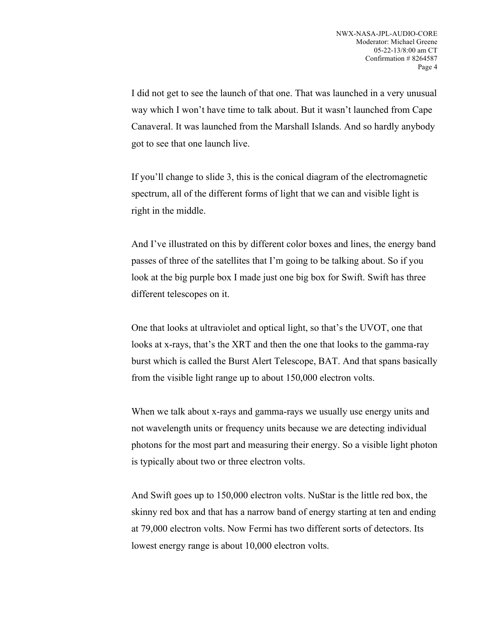I did not get to see the launch of that one. That was launched in a very unusual way which I won't have time to talk about. But it wasn't launched from Cape Canaveral. It was launched from the Marshall Islands. And so hardly anybody got to see that one launch live.

If you'll change to slide 3, this is the conical diagram of the electromagnetic spectrum, all of the different forms of light that we can and visible light is right in the middle.

And I've illustrated on this by different color boxes and lines, the energy band passes of three of the satellites that I'm going to be talking about. So if you look at the big purple box I made just one big box for Swift. Swift has three different telescopes on it.

One that looks at ultraviolet and optical light, so that's the UVOT, one that looks at x-rays, that's the XRT and then the one that looks to the gamma-ray burst which is called the Burst Alert Telescope, BAT. And that spans basically from the visible light range up to about 150,000 electron volts.

When we talk about x-rays and gamma-rays we usually use energy units and not wavelength units or frequency units because we are detecting individual photons for the most part and measuring their energy. So a visible light photon is typically about two or three electron volts.

And Swift goes up to 150,000 electron volts. NuStar is the little red box, the skinny red box and that has a narrow band of energy starting at ten and ending at 79,000 electron volts. Now Fermi has two different sorts of detectors. Its lowest energy range is about 10,000 electron volts.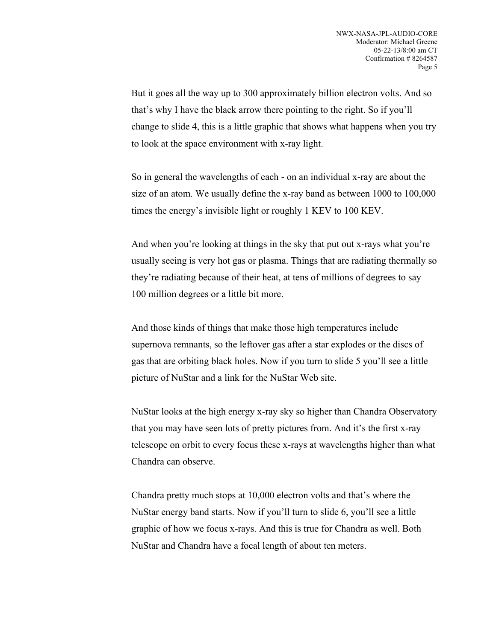But it goes all the way up to 300 approximately billion electron volts. And so that's why I have the black arrow there pointing to the right. So if you'll change to slide 4, this is a little graphic that shows what happens when you try to look at the space environment with x-ray light.

So in general the wavelengths of each - on an individual x-ray are about the size of an atom. We usually define the x-ray band as between 1000 to 100,000 times the energy's invisible light or roughly 1 KEV to 100 KEV.

And when you're looking at things in the sky that put out x-rays what you're usually seeing is very hot gas or plasma. Things that are radiating thermally so they're radiating because of their heat, at tens of millions of degrees to say 100 million degrees or a little bit more.

And those kinds of things that make those high temperatures include supernova remnants, so the leftover gas after a star explodes or the discs of gas that are orbiting black holes. Now if you turn to slide 5 you'll see a little picture of NuStar and a link for the NuStar Web site.

NuStar looks at the high energy x-ray sky so higher than Chandra Observatory that you may have seen lots of pretty pictures from. And it's the first x-ray telescope on orbit to every focus these x-rays at wavelengths higher than what Chandra can observe.

Chandra pretty much stops at 10,000 electron volts and that's where the NuStar energy band starts. Now if you'll turn to slide 6, you'll see a little graphic of how we focus x-rays. And this is true for Chandra as well. Both NuStar and Chandra have a focal length of about ten meters.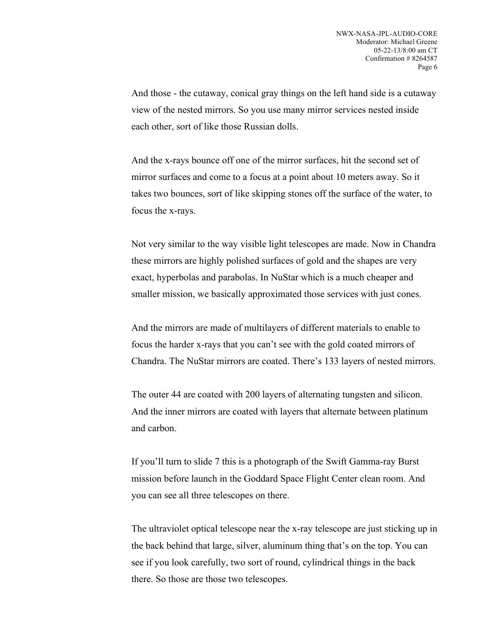And those - the cutaway, conical gray things on the left hand side is a cutaway view of the nested mirrors. So you use many mirror services nested inside each other, sort of like those Russian dolls.

And the x-rays bounce off one of the mirror surfaces, hit the second set of mirror surfaces and come to a focus at a point about 10 meters away. So it takes two bounces, sort of like skipping stones off the surface of the water, to focus the x-rays.

Not very similar to the way visible light telescopes are made. Now in Chandra these mirrors are highly polished surfaces of gold and the shapes are very exact, hyperbolas and parabolas. In NuStar which is a much cheaper and smaller mission, we basically approximated those services with just cones.

And the mirrors are made of multilayers of different materials to enable to focus the harder x-rays that you can't see with the gold coated mirrors of Chandra. The NuStar mirrors are coated. There's 133 layers of nested mirrors.

The outer 44 are coated with 200 layers of alternating tungsten and silicon. And the inner mirrors are coated with layers that alternate between platinum and carbon.

If you'll turn to slide 7 this is a photograph of the Swift Gamma-ray Burst mission before launch in the Goddard Space Flight Center clean room. And you can see all three telescopes on there.

The ultraviolet optical telescope near the x-ray telescope are just sticking up in the back behind that large, silver, aluminum thing that's on the top. You can see if you look carefully, two sort of round, cylindrical things in the back there. So those are those two telescopes.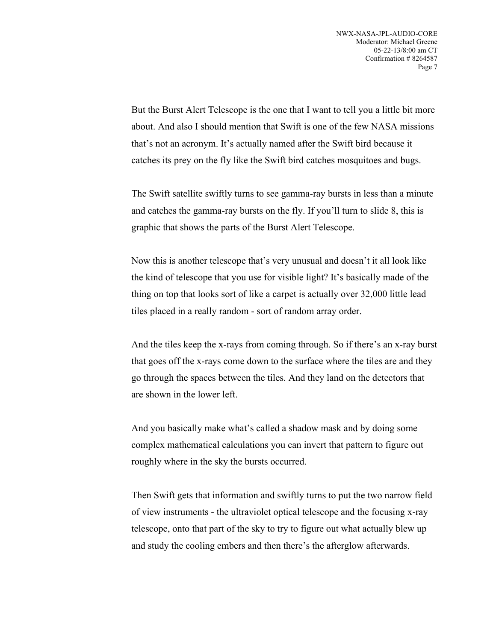But the Burst Alert Telescope is the one that I want to tell you a little bit more about. And also I should mention that Swift is one of the few NASA missions that's not an acronym. It's actually named after the Swift bird because it catches its prey on the fly like the Swift bird catches mosquitoes and bugs.

The Swift satellite swiftly turns to see gamma-ray bursts in less than a minute and catches the gamma-ray bursts on the fly. If you'll turn to slide 8, this is graphic that shows the parts of the Burst Alert Telescope.

Now this is another telescope that's very unusual and doesn't it all look like the kind of telescope that you use for visible light? It's basically made of the thing on top that looks sort of like a carpet is actually over 32,000 little lead tiles placed in a really random - sort of random array order.

And the tiles keep the x-rays from coming through. So if there's an x-ray burst that goes off the x-rays come down to the surface where the tiles are and they go through the spaces between the tiles. And they land on the detectors that are shown in the lower left.

And you basically make what's called a shadow mask and by doing some complex mathematical calculations you can invert that pattern to figure out roughly where in the sky the bursts occurred.

Then Swift gets that information and swiftly turns to put the two narrow field of view instruments - the ultraviolet optical telescope and the focusing x-ray telescope, onto that part of the sky to try to figure out what actually blew up and study the cooling embers and then there's the afterglow afterwards.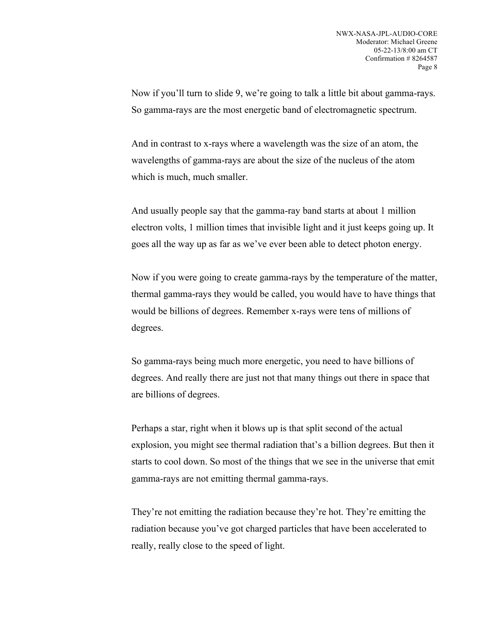Now if you'll turn to slide 9, we're going to talk a little bit about gamma-rays. So gamma-rays are the most energetic band of electromagnetic spectrum.

And in contrast to x-rays where a wavelength was the size of an atom, the wavelengths of gamma-rays are about the size of the nucleus of the atom which is much, much smaller.

And usually people say that the gamma-ray band starts at about 1 million electron volts, 1 million times that invisible light and it just keeps going up. It goes all the way up as far as we've ever been able to detect photon energy.

Now if you were going to create gamma-rays by the temperature of the matter, thermal gamma-rays they would be called, you would have to have things that would be billions of degrees. Remember x-rays were tens of millions of degrees.

So gamma-rays being much more energetic, you need to have billions of degrees. And really there are just not that many things out there in space that are billions of degrees.

Perhaps a star, right when it blows up is that split second of the actual explosion, you might see thermal radiation that's a billion degrees. But then it starts to cool down. So most of the things that we see in the universe that emit gamma-rays are not emitting thermal gamma-rays.

They're not emitting the radiation because they're hot. They're emitting the radiation because you've got charged particles that have been accelerated to really, really close to the speed of light.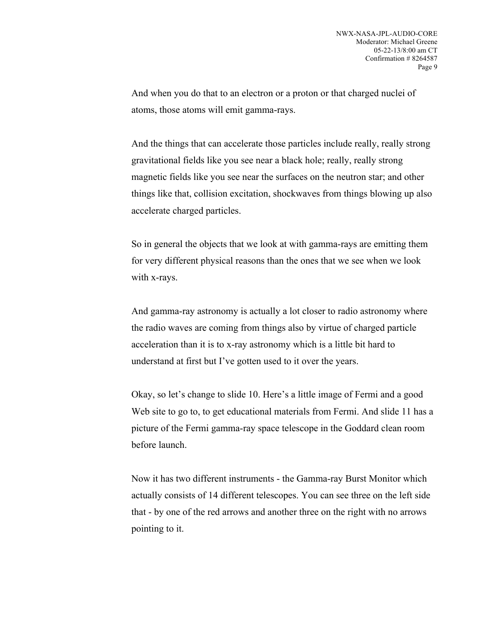And when you do that to an electron or a proton or that charged nuclei of atoms, those atoms will emit gamma-rays.

And the things that can accelerate those particles include really, really strong gravitational fields like you see near a black hole; really, really strong magnetic fields like you see near the surfaces on the neutron star; and other things like that, collision excitation, shockwaves from things blowing up also accelerate charged particles.

So in general the objects that we look at with gamma-rays are emitting them for very different physical reasons than the ones that we see when we look with x-rays.

And gamma-ray astronomy is actually a lot closer to radio astronomy where the radio waves are coming from things also by virtue of charged particle acceleration than it is to x-ray astronomy which is a little bit hard to understand at first but I've gotten used to it over the years.

Okay, so let's change to slide 10. Here's a little image of Fermi and a good Web site to go to, to get educational materials from Fermi. And slide 11 has a picture of the Fermi gamma-ray space telescope in the Goddard clean room before launch.

Now it has two different instruments - the Gamma-ray Burst Monitor which actually consists of 14 different telescopes. You can see three on the left side that - by one of the red arrows and another three on the right with no arrows pointing to it.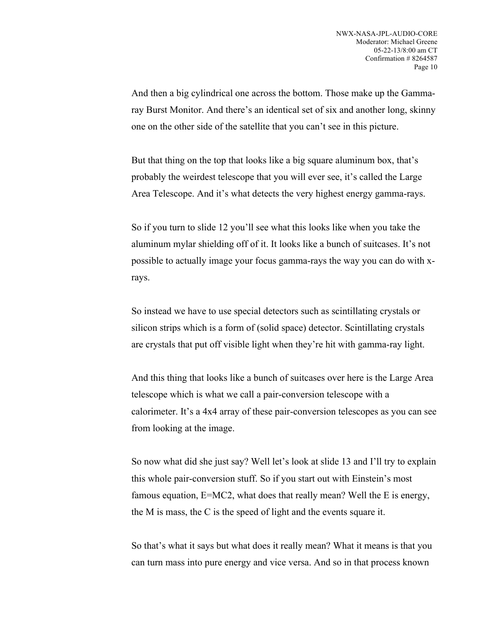And then a big cylindrical one across the bottom. Those make up the Gammaray Burst Monitor. And there's an identical set of six and another long, skinny one on the other side of the satellite that you can't see in this picture.

But that thing on the top that looks like a big square aluminum box, that's probably the weirdest telescope that you will ever see, it's called the Large Area Telescope. And it's what detects the very highest energy gamma-rays.

So if you turn to slide 12 you'll see what this looks like when you take the aluminum mylar shielding off of it. It looks like a bunch of suitcases. It's not possible to actually image your focus gamma-rays the way you can do with xrays.

So instead we have to use special detectors such as scintillating crystals or silicon strips which is a form of (solid space) detector. Scintillating crystals are crystals that put off visible light when they're hit with gamma-ray light.

And this thing that looks like a bunch of suitcases over here is the Large Area telescope which is what we call a pair-conversion telescope with a calorimeter. It's a 4x4 array of these pair-conversion telescopes as you can see from looking at the image.

So now what did she just say? Well let's look at slide 13 and I'll try to explain this whole pair-conversion stuff. So if you start out with Einstein's most famous equation, E=MC2, what does that really mean? Well the E is energy, the M is mass, the C is the speed of light and the events square it.

So that's what it says but what does it really mean? What it means is that you can turn mass into pure energy and vice versa. And so in that process known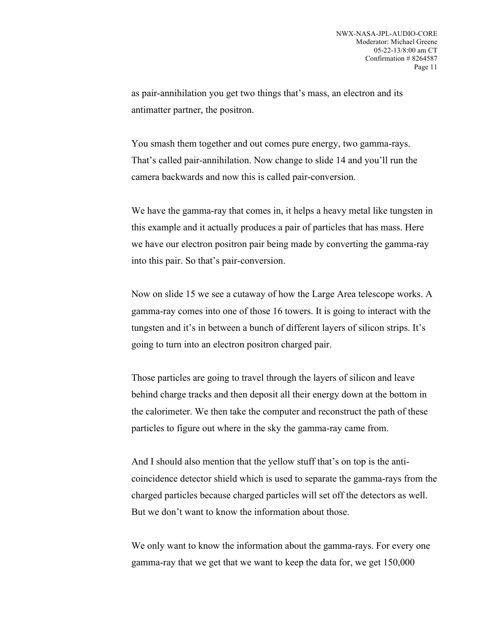as pair-annihilation you get two things that's mass, an electron and its antimatter partner, the positron.

You smash them together and out comes pure energy, two gamma-rays. That's called pair-annihilation. Now change to slide 14 and you'll run the camera backwards and now this is called pair-conversion.

We have the gamma-ray that comes in, it helps a heavy metal like tungsten in this example and it actually produces a pair of particles that has mass. Here we have our electron positron pair being made by converting the gamma-ray into this pair. So that's pair-conversion.

Now on slide 15 we see a cutaway of how the Large Area telescope works. A gamma-ray comes into one of those 16 towers. It is going to interact with the tungsten and it's in between a bunch of different layers of silicon strips. It's going to turn into an electron positron charged pair.

Those particles are going to travel through the layers of silicon and leave behind charge tracks and then deposit all their energy down at the bottom in the calorimeter. We then take the computer and reconstruct the path of these particles to figure out where in the sky the gamma-ray came from.

And I should also mention that the yellow stuff that's on top is the anticoincidence detector shield which is used to separate the gamma-rays from the charged particles because charged particles will set off the detectors as well. But we don't want to know the information about those.

We only want to know the information about the gamma-rays. For every one gamma-ray that we get that we want to keep the data for, we get 150,000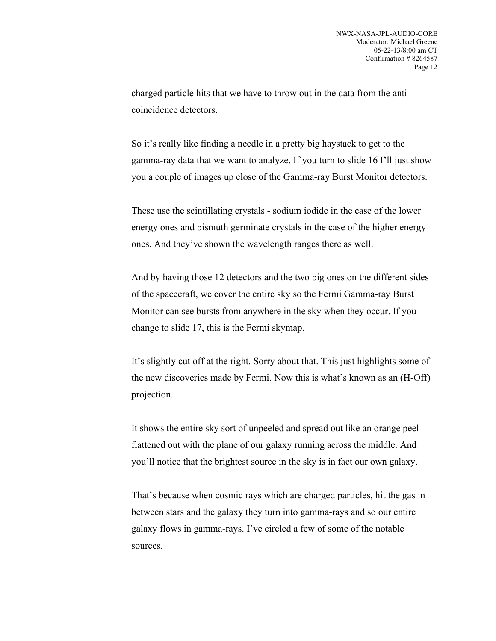charged particle hits that we have to throw out in the data from the anticoincidence detectors.

So it's really like finding a needle in a pretty big haystack to get to the gamma-ray data that we want to analyze. If you turn to slide 16 I'll just show you a couple of images up close of the Gamma-ray Burst Monitor detectors.

These use the scintillating crystals - sodium iodide in the case of the lower energy ones and bismuth germinate crystals in the case of the higher energy ones. And they've shown the wavelength ranges there as well.

And by having those 12 detectors and the two big ones on the different sides of the spacecraft, we cover the entire sky so the Fermi Gamma-ray Burst Monitor can see bursts from anywhere in the sky when they occur. If you change to slide 17, this is the Fermi skymap.

It's slightly cut off at the right. Sorry about that. This just highlights some of the new discoveries made by Fermi. Now this is what's known as an (H-Off) projection.

It shows the entire sky sort of unpeeled and spread out like an orange peel flattened out with the plane of our galaxy running across the middle. And you'll notice that the brightest source in the sky is in fact our own galaxy.

That's because when cosmic rays which are charged particles, hit the gas in between stars and the galaxy they turn into gamma-rays and so our entire galaxy flows in gamma-rays. I've circled a few of some of the notable sources.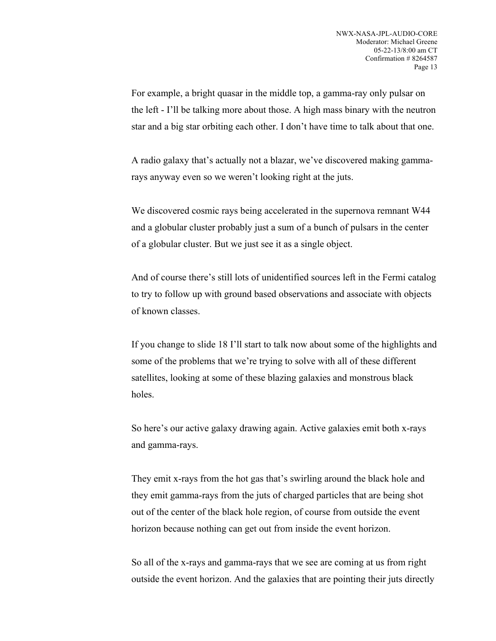For example, a bright quasar in the middle top, a gamma-ray only pulsar on the left - I'll be talking more about those. A high mass binary with the neutron star and a big star orbiting each other. I don't have time to talk about that one.

A radio galaxy that's actually not a blazar, we've discovered making gammarays anyway even so we weren't looking right at the juts.

We discovered cosmic rays being accelerated in the supernova remnant W44 and a globular cluster probably just a sum of a bunch of pulsars in the center of a globular cluster. But we just see it as a single object.

And of course there's still lots of unidentified sources left in the Fermi catalog to try to follow up with ground based observations and associate with objects of known classes.

If you change to slide 18 I'll start to talk now about some of the highlights and some of the problems that we're trying to solve with all of these different satellites, looking at some of these blazing galaxies and monstrous black holes.

So here's our active galaxy drawing again. Active galaxies emit both x-rays and gamma-rays.

They emit x-rays from the hot gas that's swirling around the black hole and they emit gamma-rays from the juts of charged particles that are being shot out of the center of the black hole region, of course from outside the event horizon because nothing can get out from inside the event horizon.

So all of the x-rays and gamma-rays that we see are coming at us from right outside the event horizon. And the galaxies that are pointing their juts directly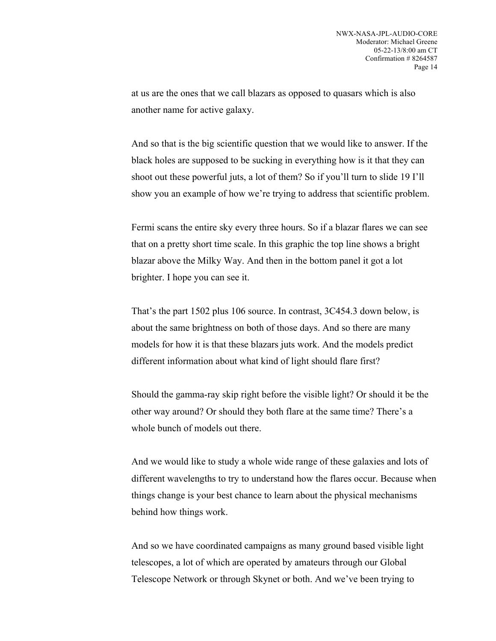at us are the ones that we call blazars as opposed to quasars which is also another name for active galaxy.

And so that is the big scientific question that we would like to answer. If the black holes are supposed to be sucking in everything how is it that they can shoot out these powerful juts, a lot of them? So if you'll turn to slide 19 I'll show you an example of how we're trying to address that scientific problem.

Fermi scans the entire sky every three hours. So if a blazar flares we can see that on a pretty short time scale. In this graphic the top line shows a bright blazar above the Milky Way. And then in the bottom panel it got a lot brighter. I hope you can see it.

That's the part 1502 plus 106 source. In contrast, 3C454.3 down below, is about the same brightness on both of those days. And so there are many models for how it is that these blazars juts work. And the models predict different information about what kind of light should flare first?

Should the gamma-ray skip right before the visible light? Or should it be the other way around? Or should they both flare at the same time? There's a whole bunch of models out there.

And we would like to study a whole wide range of these galaxies and lots of different wavelengths to try to understand how the flares occur. Because when things change is your best chance to learn about the physical mechanisms behind how things work.

And so we have coordinated campaigns as many ground based visible light telescopes, a lot of which are operated by amateurs through our Global Telescope Network or through Skynet or both. And we've been trying to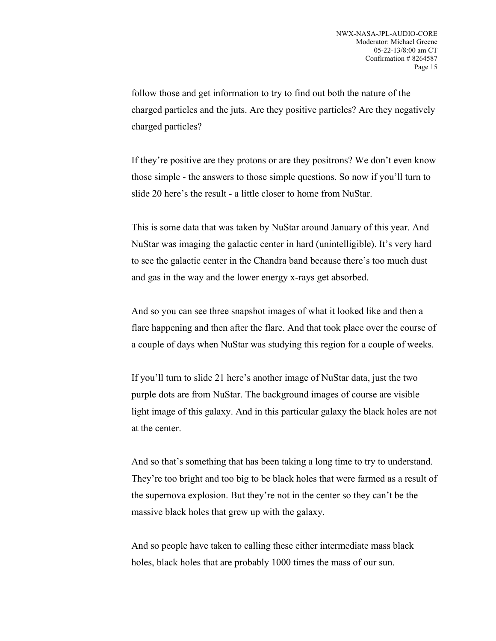follow those and get information to try to find out both the nature of the charged particles and the juts. Are they positive particles? Are they negatively charged particles?

If they're positive are they protons or are they positrons? We don't even know those simple - the answers to those simple questions. So now if you'll turn to slide 20 here's the result - a little closer to home from NuStar.

This is some data that was taken by NuStar around January of this year. And NuStar was imaging the galactic center in hard (unintelligible). It's very hard to see the galactic center in the Chandra band because there's too much dust and gas in the way and the lower energy x-rays get absorbed.

And so you can see three snapshot images of what it looked like and then a flare happening and then after the flare. And that took place over the course of a couple of days when NuStar was studying this region for a couple of weeks.

If you'll turn to slide 21 here's another image of NuStar data, just the two purple dots are from NuStar. The background images of course are visible light image of this galaxy. And in this particular galaxy the black holes are not at the center.

And so that's something that has been taking a long time to try to understand. They're too bright and too big to be black holes that were farmed as a result of the supernova explosion. But they're not in the center so they can't be the massive black holes that grew up with the galaxy.

And so people have taken to calling these either intermediate mass black holes, black holes that are probably 1000 times the mass of our sun.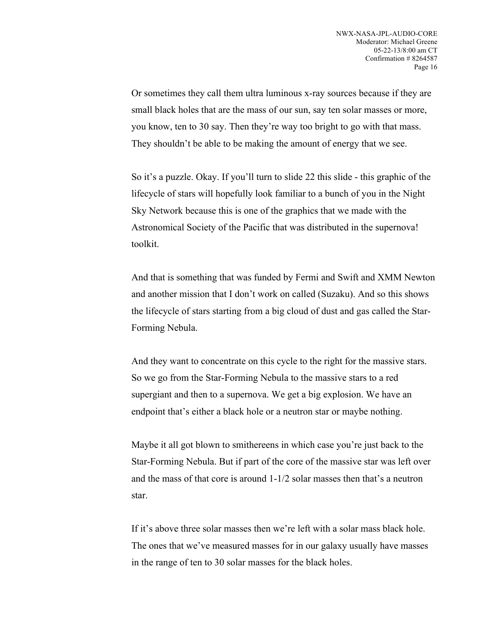Or sometimes they call them ultra luminous x-ray sources because if they are small black holes that are the mass of our sun, say ten solar masses or more, you know, ten to 30 say. Then they're way too bright to go with that mass. They shouldn't be able to be making the amount of energy that we see.

So it's a puzzle. Okay. If you'll turn to slide 22 this slide - this graphic of the lifecycle of stars will hopefully look familiar to a bunch of you in the Night Sky Network because this is one of the graphics that we made with the Astronomical Society of the Pacific that was distributed in the supernova! toolkit.

And that is something that was funded by Fermi and Swift and XMM Newton and another mission that I don't work on called (Suzaku). And so this shows the lifecycle of stars starting from a big cloud of dust and gas called the Star-Forming Nebula.

And they want to concentrate on this cycle to the right for the massive stars. So we go from the Star-Forming Nebula to the massive stars to a red supergiant and then to a supernova. We get a big explosion. We have an endpoint that's either a black hole or a neutron star or maybe nothing.

Maybe it all got blown to smithereens in which case you're just back to the Star-Forming Nebula. But if part of the core of the massive star was left over and the mass of that core is around 1-1/2 solar masses then that's a neutron star.

If it's above three solar masses then we're left with a solar mass black hole. The ones that we've measured masses for in our galaxy usually have masses in the range of ten to 30 solar masses for the black holes.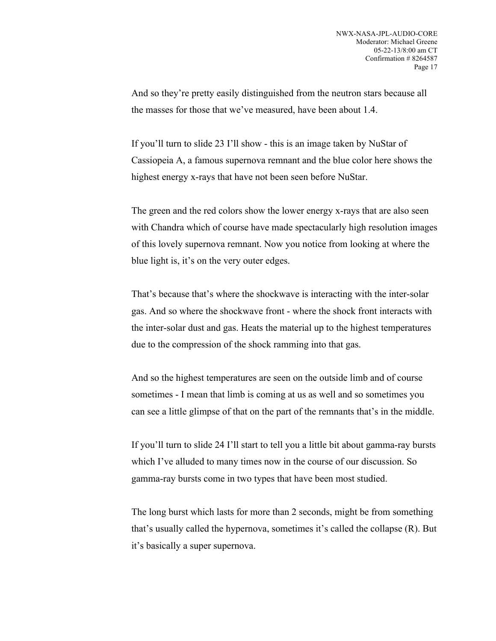And so they're pretty easily distinguished from the neutron stars because all the masses for those that we've measured, have been about 1.4.

If you'll turn to slide 23 I'll show - this is an image taken by NuStar of Cassiopeia A, a famous supernova remnant and the blue color here shows the highest energy x-rays that have not been seen before NuStar.

The green and the red colors show the lower energy x-rays that are also seen with Chandra which of course have made spectacularly high resolution images of this lovely supernova remnant. Now you notice from looking at where the blue light is, it's on the very outer edges.

That's because that's where the shockwave is interacting with the inter-solar gas. And so where the shockwave front - where the shock front interacts with the inter-solar dust and gas. Heats the material up to the highest temperatures due to the compression of the shock ramming into that gas.

And so the highest temperatures are seen on the outside limb and of course sometimes - I mean that limb is coming at us as well and so sometimes you can see a little glimpse of that on the part of the remnants that's in the middle.

If you'll turn to slide 24 I'll start to tell you a little bit about gamma-ray bursts which I've alluded to many times now in the course of our discussion. So gamma-ray bursts come in two types that have been most studied.

The long burst which lasts for more than 2 seconds, might be from something that's usually called the hypernova, sometimes it's called the collapse (R). But it's basically a super supernova.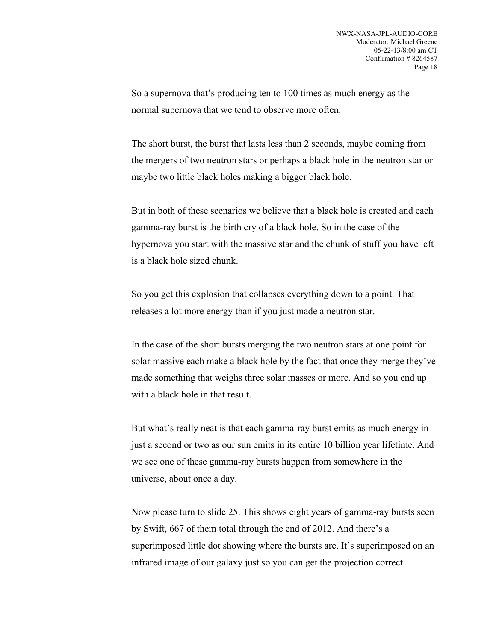So a supernova that's producing ten to 100 times as much energy as the normal supernova that we tend to observe more often.

The short burst, the burst that lasts less than 2 seconds, maybe coming from the mergers of two neutron stars or perhaps a black hole in the neutron star or maybe two little black holes making a bigger black hole.

But in both of these scenarios we believe that a black hole is created and each gamma-ray burst is the birth cry of a black hole. So in the case of the hypernova you start with the massive star and the chunk of stuff you have left is a black hole sized chunk.

So you get this explosion that collapses everything down to a point. That releases a lot more energy than if you just made a neutron star.

In the case of the short bursts merging the two neutron stars at one point for solar massive each make a black hole by the fact that once they merge they've made something that weighs three solar masses or more. And so you end up with a black hole in that result.

But what's really neat is that each gamma-ray burst emits as much energy in just a second or two as our sun emits in its entire 10 billion year lifetime. And we see one of these gamma-ray bursts happen from somewhere in the universe, about once a day.

Now please turn to slide 25. This shows eight years of gamma-ray bursts seen by Swift, 667 of them total through the end of 2012. And there's a superimposed little dot showing where the bursts are. It's superimposed on an infrared image of our galaxy just so you can get the projection correct.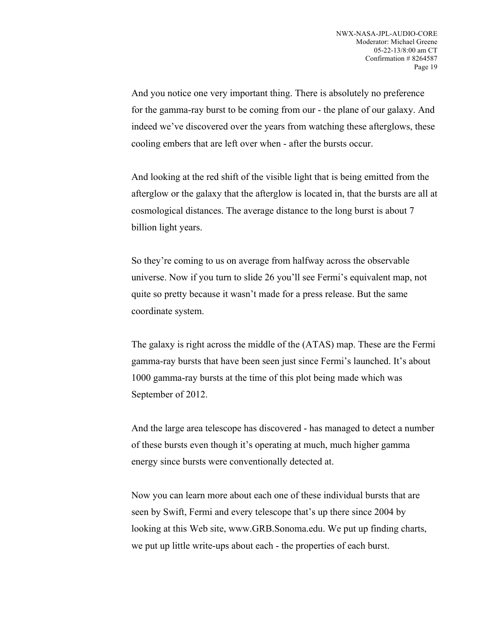And you notice one very important thing. There is absolutely no preference for the gamma-ray burst to be coming from our - the plane of our galaxy. And indeed we've discovered over the years from watching these afterglows, these cooling embers that are left over when - after the bursts occur.

And looking at the red shift of the visible light that is being emitted from the afterglow or the galaxy that the afterglow is located in, that the bursts are all at cosmological distances. The average distance to the long burst is about 7 billion light years.

So they're coming to us on average from halfway across the observable universe. Now if you turn to slide 26 you'll see Fermi's equivalent map, not quite so pretty because it wasn't made for a press release. But the same coordinate system.

The galaxy is right across the middle of the (ATAS) map. These are the Fermi gamma-ray bursts that have been seen just since Fermi's launched. It's about 1000 gamma-ray bursts at the time of this plot being made which was September of 2012.

And the large area telescope has discovered - has managed to detect a number of these bursts even though it's operating at much, much higher gamma energy since bursts were conventionally detected at.

Now you can learn more about each one of these individual bursts that are seen by Swift, Fermi and every telescope that's up there since 2004 by looking at this Web site, www.GRB.Sonoma.edu. We put up finding charts, we put up little write-ups about each - the properties of each burst.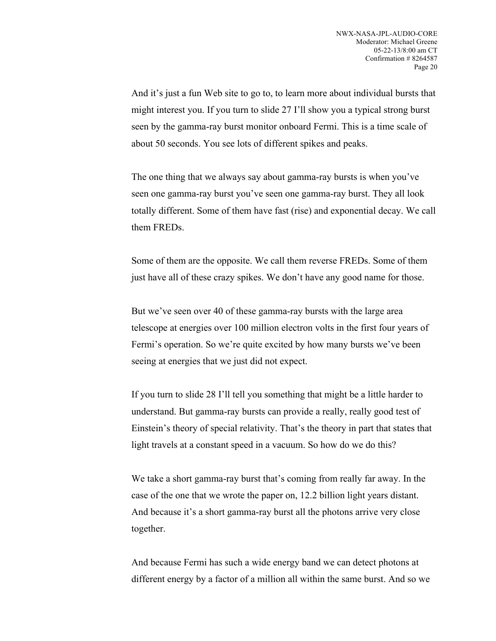And it's just a fun Web site to go to, to learn more about individual bursts that might interest you. If you turn to slide 27 I'll show you a typical strong burst seen by the gamma-ray burst monitor onboard Fermi. This is a time scale of about 50 seconds. You see lots of different spikes and peaks.

The one thing that we always say about gamma-ray bursts is when you've seen one gamma-ray burst you've seen one gamma-ray burst. They all look totally different. Some of them have fast (rise) and exponential decay. We call them FREDs.

Some of them are the opposite. We call them reverse FREDs. Some of them just have all of these crazy spikes. We don't have any good name for those.

But we've seen over 40 of these gamma-ray bursts with the large area telescope at energies over 100 million electron volts in the first four years of Fermi's operation. So we're quite excited by how many bursts we've been seeing at energies that we just did not expect.

If you turn to slide 28 I'll tell you something that might be a little harder to understand. But gamma-ray bursts can provide a really, really good test of Einstein's theory of special relativity. That's the theory in part that states that light travels at a constant speed in a vacuum. So how do we do this?

We take a short gamma-ray burst that's coming from really far away. In the case of the one that we wrote the paper on, 12.2 billion light years distant. And because it's a short gamma-ray burst all the photons arrive very close together.

And because Fermi has such a wide energy band we can detect photons at different energy by a factor of a million all within the same burst. And so we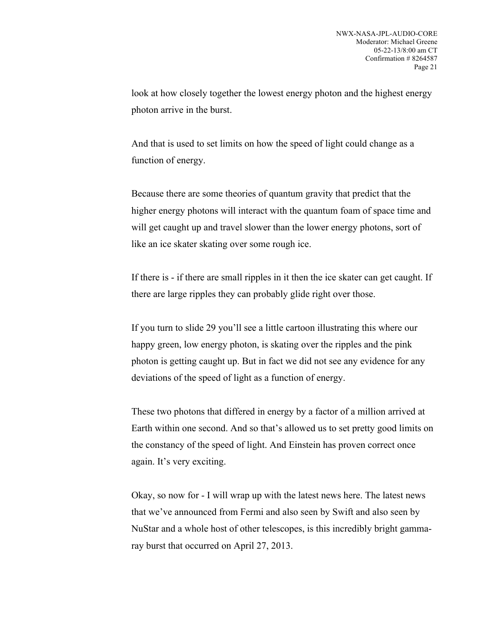look at how closely together the lowest energy photon and the highest energy photon arrive in the burst.

And that is used to set limits on how the speed of light could change as a function of energy.

Because there are some theories of quantum gravity that predict that the higher energy photons will interact with the quantum foam of space time and will get caught up and travel slower than the lower energy photons, sort of like an ice skater skating over some rough ice.

If there is - if there are small ripples in it then the ice skater can get caught. If there are large ripples they can probably glide right over those.

If you turn to slide 29 you'll see a little cartoon illustrating this where our happy green, low energy photon, is skating over the ripples and the pink photon is getting caught up. But in fact we did not see any evidence for any deviations of the speed of light as a function of energy.

These two photons that differed in energy by a factor of a million arrived at Earth within one second. And so that's allowed us to set pretty good limits on the constancy of the speed of light. And Einstein has proven correct once again. It's very exciting.

Okay, so now for - I will wrap up with the latest news here. The latest news that we've announced from Fermi and also seen by Swift and also seen by NuStar and a whole host of other telescopes, is this incredibly bright gammaray burst that occurred on April 27, 2013.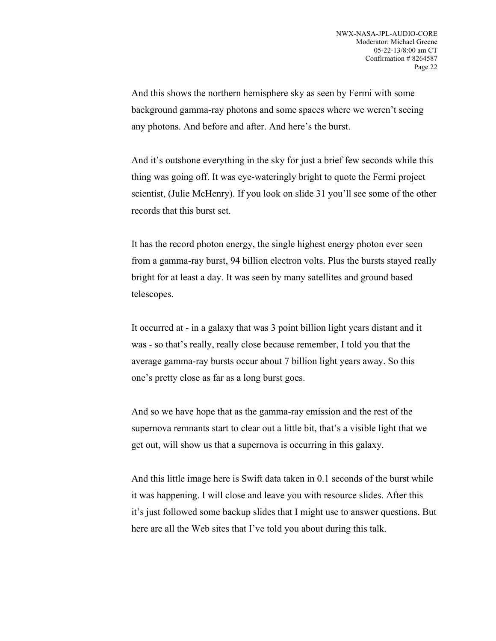And this shows the northern hemisphere sky as seen by Fermi with some background gamma-ray photons and some spaces where we weren't seeing any photons. And before and after. And here's the burst.

And it's outshone everything in the sky for just a brief few seconds while this thing was going off. It was eye-wateringly bright to quote the Fermi project scientist, (Julie McHenry). If you look on slide 31 you'll see some of the other records that this burst set.

It has the record photon energy, the single highest energy photon ever seen from a gamma-ray burst, 94 billion electron volts. Plus the bursts stayed really bright for at least a day. It was seen by many satellites and ground based telescopes.

It occurred at - in a galaxy that was 3 point billion light years distant and it was - so that's really, really close because remember, I told you that the average gamma-ray bursts occur about 7 billion light years away. So this one's pretty close as far as a long burst goes.

And so we have hope that as the gamma-ray emission and the rest of the supernova remnants start to clear out a little bit, that's a visible light that we get out, will show us that a supernova is occurring in this galaxy.

And this little image here is Swift data taken in 0.1 seconds of the burst while it was happening. I will close and leave you with resource slides. After this it's just followed some backup slides that I might use to answer questions. But here are all the Web sites that I've told you about during this talk.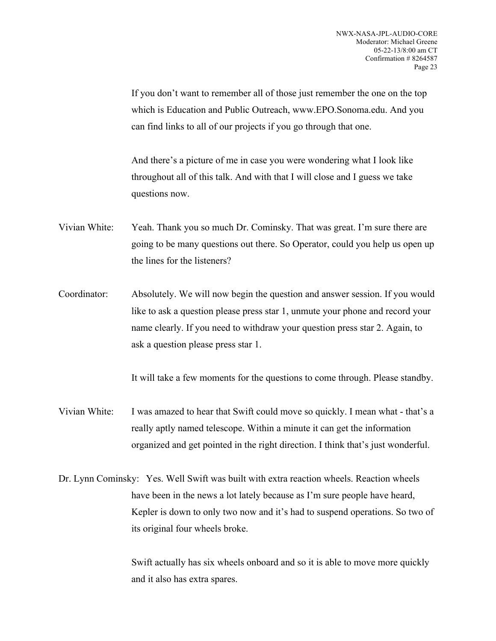If you don't want to remember all of those just remember the one on the top which is Education and Public Outreach, www.EPO.Sonoma.edu. And you can find links to all of our projects if you go through that one.

And there's a picture of me in case you were wondering what I look like throughout all of this talk. And with that I will close and I guess we take questions now.

- Vivian White: Yeah. Thank you so much Dr. Cominsky. That was great. I'm sure there are going to be many questions out there. So Operator, could you help us open up the lines for the listeners?
- Coordinator: Absolutely. We will now begin the question and answer session. If you would like to ask a question please press star 1, unmute your phone and record your name clearly. If you need to withdraw your question press star 2. Again, to ask a question please press star 1.

It will take a few moments for the questions to come through. Please standby.

- Vivian White: I was amazed to hear that Swift could move so quickly. I mean what that's a really aptly named telescope. Within a minute it can get the information organized and get pointed in the right direction. I think that's just wonderful.
- Dr. Lynn Cominsky: Yes. Well Swift was built with extra reaction wheels. Reaction wheels have been in the news a lot lately because as I'm sure people have heard, Kepler is down to only two now and it's had to suspend operations. So two of its original four wheels broke.

Swift actually has six wheels onboard and so it is able to move more quickly and it also has extra spares.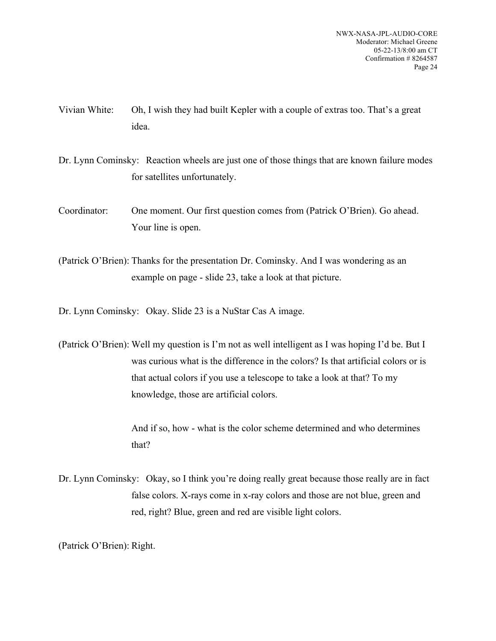- Vivian White: Oh, I wish they had built Kepler with a couple of extras too. That's a great idea.
- Dr. Lynn Cominsky: Reaction wheels are just one of those things that are known failure modes for satellites unfortunately.
- Coordinator: One moment. Our first question comes from (Patrick O'Brien). Go ahead. Your line is open.
- (Patrick O'Brien): Thanks for the presentation Dr. Cominsky. And I was wondering as an example on page - slide 23, take a look at that picture.
- Dr. Lynn Cominsky: Okay. Slide 23 is a NuStar Cas A image.
- (Patrick O'Brien): Well my question is I'm not as well intelligent as I was hoping I'd be. But I was curious what is the difference in the colors? Is that artificial colors or is that actual colors if you use a telescope to take a look at that? To my knowledge, those are artificial colors.

And if so, how - what is the color scheme determined and who determines that?

Dr. Lynn Cominsky: Okay, so I think you're doing really great because those really are in fact false colors. X-rays come in x-ray colors and those are not blue, green and red, right? Blue, green and red are visible light colors.

(Patrick O'Brien): Right.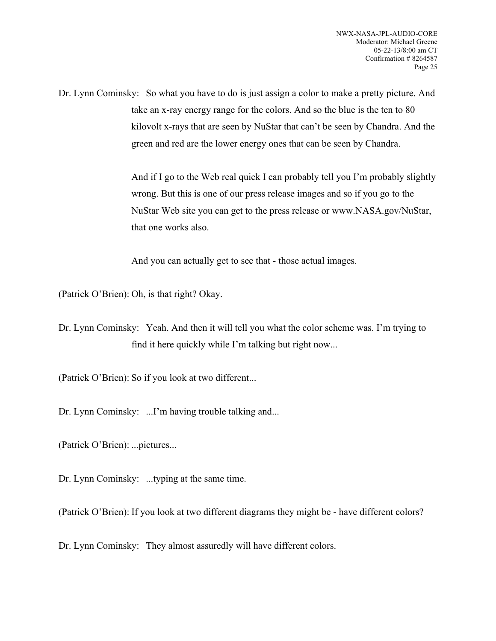Dr. Lynn Cominsky: So what you have to do is just assign a color to make a pretty picture. And take an x-ray energy range for the colors. And so the blue is the ten to 80 kilovolt x-rays that are seen by NuStar that can't be seen by Chandra. And the green and red are the lower energy ones that can be seen by Chandra.

> And if I go to the Web real quick I can probably tell you I'm probably slightly wrong. But this is one of our press release images and so if you go to the NuStar Web site you can get to the press release or www.NASA.gov/NuStar, that one works also.

And you can actually get to see that - those actual images.

(Patrick O'Brien): Oh, is that right? Okay.

Dr. Lynn Cominsky: Yeah. And then it will tell you what the color scheme was. I'm trying to find it here quickly while I'm talking but right now...

(Patrick O'Brien): So if you look at two different...

Dr. Lynn Cominsky: ...I'm having trouble talking and...

(Patrick O'Brien): ...pictures...

Dr. Lynn Cominsky: ...typing at the same time.

(Patrick O'Brien): If you look at two different diagrams they might be - have different colors?

Dr. Lynn Cominsky: They almost assuredly will have different colors.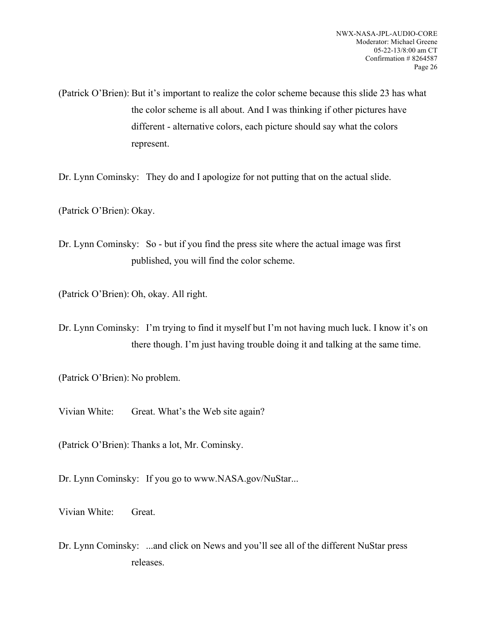(Patrick O'Brien): But it's important to realize the color scheme because this slide 23 has what the color scheme is all about. And I was thinking if other pictures have different - alternative colors, each picture should say what the colors represent.

Dr. Lynn Cominsky: They do and I apologize for not putting that on the actual slide.

(Patrick O'Brien): Okay.

Dr. Lynn Cominsky: So - but if you find the press site where the actual image was first published, you will find the color scheme.

(Patrick O'Brien): Oh, okay. All right.

Dr. Lynn Cominsky: I'm trying to find it myself but I'm not having much luck. I know it's on there though. I'm just having trouble doing it and talking at the same time.

(Patrick O'Brien): No problem.

Vivian White: Great. What's the Web site again?

(Patrick O'Brien): Thanks a lot, Mr. Cominsky.

Dr. Lynn Cominsky: If you go to www.NASA.gov/NuStar...

Vivian White: Great.

Dr. Lynn Cominsky: ...and click on News and you'll see all of the different NuStar press releases.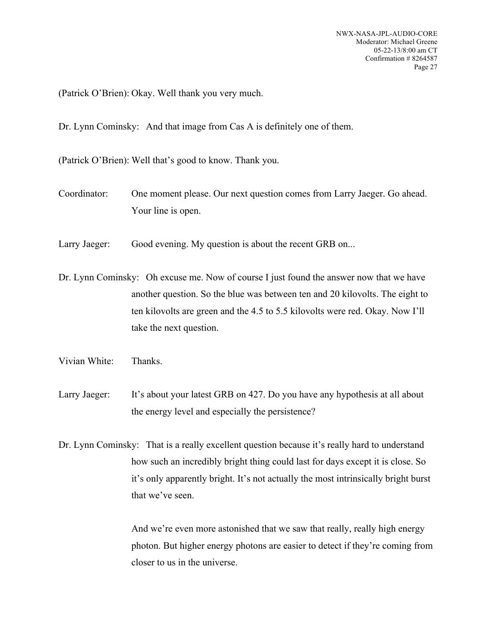(Patrick O'Brien): Okay. Well thank you very much.

Dr. Lynn Cominsky: And that image from Cas A is definitely one of them.

(Patrick O'Brien): Well that's good to know. Thank you.

- Coordinator: One moment please. Our next question comes from Larry Jaeger. Go ahead. Your line is open.
- Larry Jaeger: Good evening. My question is about the recent GRB on...

Dr. Lynn Cominsky: Oh excuse me. Now of course I just found the answer now that we have another question. So the blue was between ten and 20 kilovolts. The eight to ten kilovolts are green and the 4.5 to 5.5 kilovolts were red. Okay. Now I'll take the next question.

- Vivian White: Thanks.
- Larry Jaeger: It's about your latest GRB on 427. Do you have any hypothesis at all about the energy level and especially the persistence?

Dr. Lynn Cominsky: That is a really excellent question because it's really hard to understand how such an incredibly bright thing could last for days except it is close. So it's only apparently bright. It's not actually the most intrinsically bright burst that we've seen.

> And we're even more astonished that we saw that really, really high energy photon. But higher energy photons are easier to detect if they're coming from closer to us in the universe.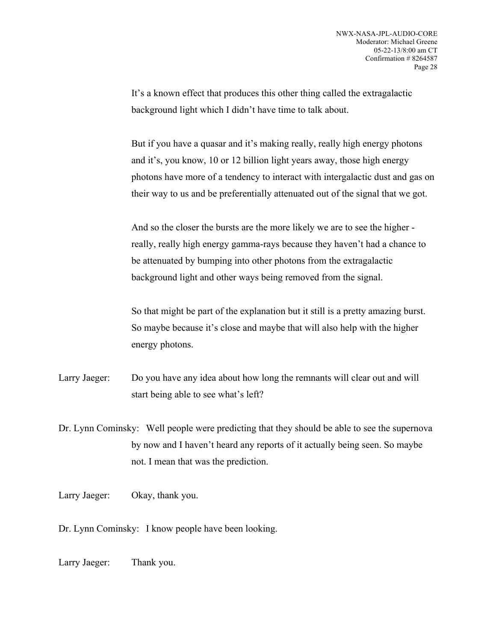It's a known effect that produces this other thing called the extragalactic background light which I didn't have time to talk about.

But if you have a quasar and it's making really, really high energy photons and it's, you know, 10 or 12 billion light years away, those high energy photons have more of a tendency to interact with intergalactic dust and gas on their way to us and be preferentially attenuated out of the signal that we got.

And so the closer the bursts are the more likely we are to see the higher really, really high energy gamma-rays because they haven't had a chance to be attenuated by bumping into other photons from the extragalactic background light and other ways being removed from the signal.

So that might be part of the explanation but it still is a pretty amazing burst. So maybe because it's close and maybe that will also help with the higher energy photons.

Larry Jaeger: Do you have any idea about how long the remnants will clear out and will start being able to see what's left?

Dr. Lynn Cominsky: Well people were predicting that they should be able to see the supernova by now and I haven't heard any reports of it actually being seen. So maybe not. I mean that was the prediction.

Larry Jaeger: Okay, thank you.

Dr. Lynn Cominsky: I know people have been looking.

Larry Jaeger: Thank you.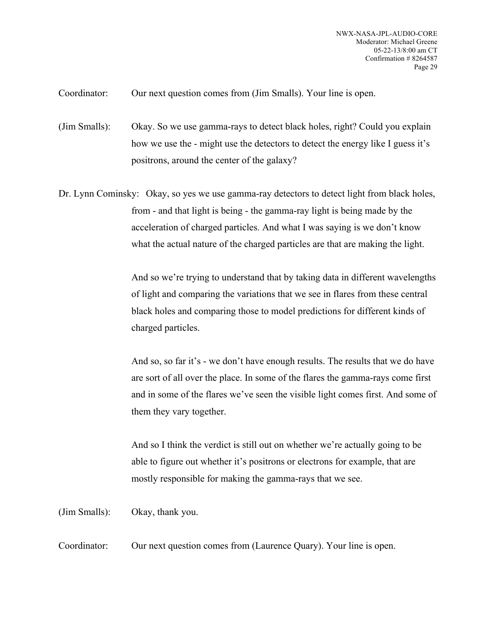Coordinator: Our next question comes from (Jim Smalls). Your line is open.

(Jim Smalls): Okay. So we use gamma-rays to detect black holes, right? Could you explain how we use the - might use the detectors to detect the energy like I guess it's positrons, around the center of the galaxy?

Dr. Lynn Cominsky: Okay, so yes we use gamma-ray detectors to detect light from black holes, from - and that light is being - the gamma-ray light is being made by the acceleration of charged particles. And what I was saying is we don't know what the actual nature of the charged particles are that are making the light.

> And so we're trying to understand that by taking data in different wavelengths of light and comparing the variations that we see in flares from these central black holes and comparing those to model predictions for different kinds of charged particles.

> And so, so far it's - we don't have enough results. The results that we do have are sort of all over the place. In some of the flares the gamma-rays come first and in some of the flares we've seen the visible light comes first. And some of them they vary together.

And so I think the verdict is still out on whether we're actually going to be able to figure out whether it's positrons or electrons for example, that are mostly responsible for making the gamma-rays that we see.

(Jim Smalls): Okay, thank you.

Coordinator: Our next question comes from (Laurence Quary). Your line is open.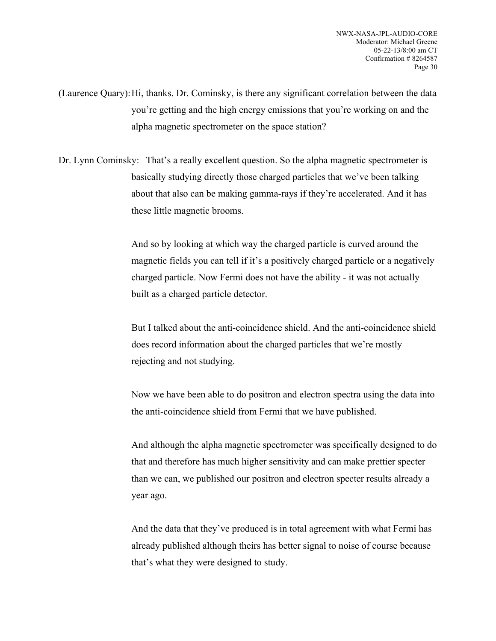(Laurence Quary):Hi, thanks. Dr. Cominsky, is there any significant correlation between the data you're getting and the high energy emissions that you're working on and the alpha magnetic spectrometer on the space station?

Dr. Lynn Cominsky: That's a really excellent question. So the alpha magnetic spectrometer is basically studying directly those charged particles that we've been talking about that also can be making gamma-rays if they're accelerated. And it has these little magnetic brooms.

> And so by looking at which way the charged particle is curved around the magnetic fields you can tell if it's a positively charged particle or a negatively charged particle. Now Fermi does not have the ability - it was not actually built as a charged particle detector.

> But I talked about the anti-coincidence shield. And the anti-coincidence shield does record information about the charged particles that we're mostly rejecting and not studying.

> Now we have been able to do positron and electron spectra using the data into the anti-coincidence shield from Fermi that we have published.

> And although the alpha magnetic spectrometer was specifically designed to do that and therefore has much higher sensitivity and can make prettier specter than we can, we published our positron and electron specter results already a year ago.

And the data that they've produced is in total agreement with what Fermi has already published although theirs has better signal to noise of course because that's what they were designed to study.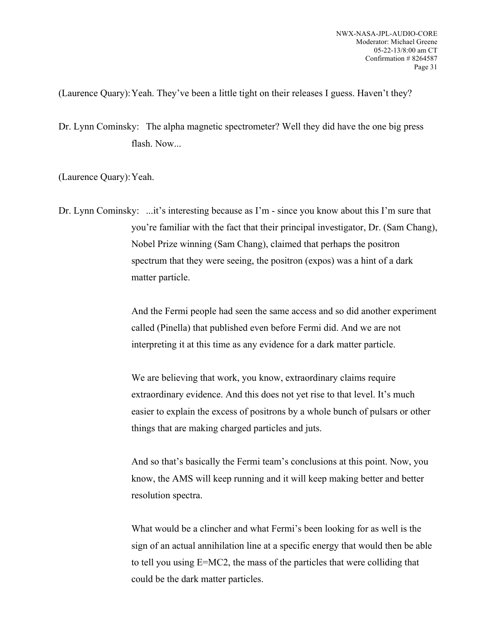(Laurence Quary):Yeah. They've been a little tight on their releases I guess. Haven't they?

Dr. Lynn Cominsky: The alpha magnetic spectrometer? Well they did have the one big press flash. Now...

(Laurence Quary):Yeah.

Dr. Lynn Cominsky: ...it's interesting because as I'm - since you know about this I'm sure that you're familiar with the fact that their principal investigator, Dr. (Sam Chang), Nobel Prize winning (Sam Chang), claimed that perhaps the positron spectrum that they were seeing, the positron (expos) was a hint of a dark matter particle.

> And the Fermi people had seen the same access and so did another experiment called (Pinella) that published even before Fermi did. And we are not interpreting it at this time as any evidence for a dark matter particle.

We are believing that work, you know, extraordinary claims require extraordinary evidence. And this does not yet rise to that level. It's much easier to explain the excess of positrons by a whole bunch of pulsars or other things that are making charged particles and juts.

And so that's basically the Fermi team's conclusions at this point. Now, you know, the AMS will keep running and it will keep making better and better resolution spectra.

What would be a clincher and what Fermi's been looking for as well is the sign of an actual annihilation line at a specific energy that would then be able to tell you using E=MC2, the mass of the particles that were colliding that could be the dark matter particles.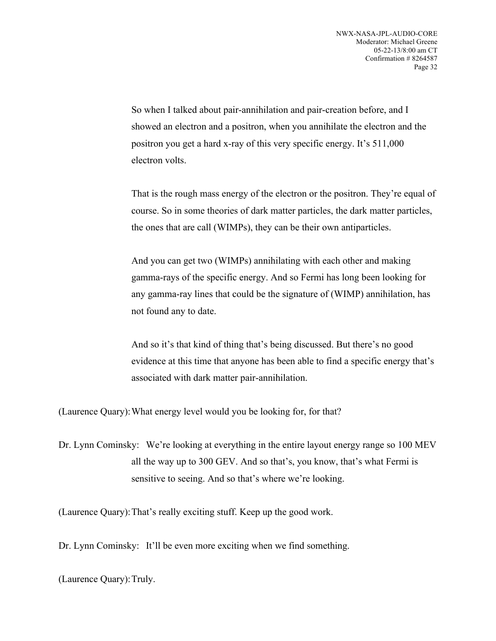So when I talked about pair-annihilation and pair-creation before, and I showed an electron and a positron, when you annihilate the electron and the positron you get a hard x-ray of this very specific energy. It's 511,000 electron volts.

That is the rough mass energy of the electron or the positron. They're equal of course. So in some theories of dark matter particles, the dark matter particles, the ones that are call (WIMPs), they can be their own antiparticles.

And you can get two (WIMPs) annihilating with each other and making gamma-rays of the specific energy. And so Fermi has long been looking for any gamma-ray lines that could be the signature of (WIMP) annihilation, has not found any to date.

And so it's that kind of thing that's being discussed. But there's no good evidence at this time that anyone has been able to find a specific energy that's associated with dark matter pair-annihilation.

(Laurence Quary):What energy level would you be looking for, for that?

Dr. Lynn Cominsky: We're looking at everything in the entire layout energy range so 100 MEV all the way up to 300 GEV. And so that's, you know, that's what Fermi is sensitive to seeing. And so that's where we're looking.

(Laurence Quary):That's really exciting stuff. Keep up the good work.

Dr. Lynn Cominsky: It'll be even more exciting when we find something.

(Laurence Quary):Truly.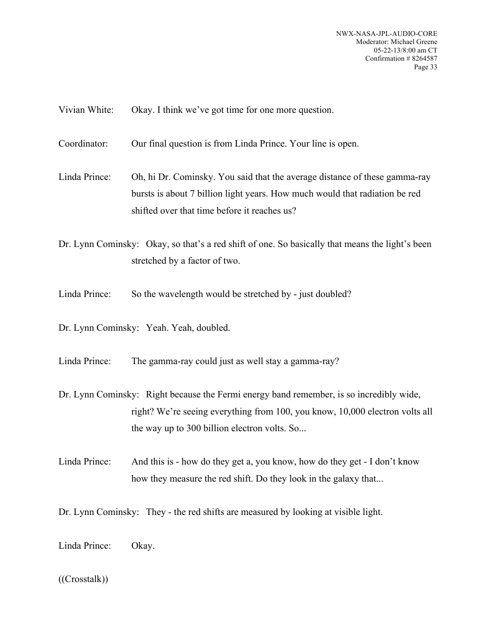NWX-NASA-JPL-AUDIO-CORE Moderator: Michael Greene 05-22-13/8:00 am CT Confirmation # 8264587 Page 33

Vivian White: Okay. I think we've got time for one more question.

Coordinator: Our final question is from Linda Prince. Your line is open.

Linda Prince: Oh, hi Dr. Cominsky. You said that the average distance of these gamma-ray bursts is about 7 billion light years. How much would that radiation be red shifted over that time before it reaches us?

Dr. Lynn Cominsky: Okay, so that's a red shift of one. So basically that means the light's been stretched by a factor of two.

Linda Prince: So the wavelength would be stretched by - just doubled?

Dr. Lynn Cominsky: Yeah. Yeah, doubled.

Linda Prince: The gamma-ray could just as well stay a gamma-ray?

Dr. Lynn Cominsky: Right because the Fermi energy band remember, is so incredibly wide, right? We're seeing everything from 100, you know, 10,000 electron volts all the way up to 300 billion electron volts. So...

Linda Prince: And this is - how do they get a, you know, how do they get - I don't know how they measure the red shift. Do they look in the galaxy that...

Dr. Lynn Cominsky: They - the red shifts are measured by looking at visible light.

Linda Prince: Okay.

## ((Crosstalk))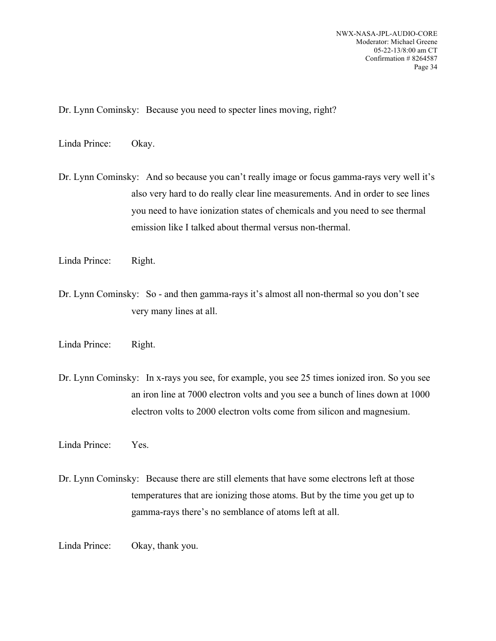Dr. Lynn Cominsky: Because you need to specter lines moving, right?

Linda Prince: Okay.

Dr. Lynn Cominsky: And so because you can't really image or focus gamma-rays very well it's also very hard to do really clear line measurements. And in order to see lines you need to have ionization states of chemicals and you need to see thermal emission like I talked about thermal versus non-thermal.

- Linda Prince: Right.
- Dr. Lynn Cominsky: So and then gamma-rays it's almost all non-thermal so you don't see very many lines at all.
- Linda Prince: Right.
- Dr. Lynn Cominsky: In x-rays you see, for example, you see 25 times ionized iron. So you see an iron line at 7000 electron volts and you see a bunch of lines down at 1000 electron volts to 2000 electron volts come from silicon and magnesium.
- Linda Prince: Yes.
- Dr. Lynn Cominsky: Because there are still elements that have some electrons left at those temperatures that are ionizing those atoms. But by the time you get up to gamma-rays there's no semblance of atoms left at all.
- Linda Prince: Okay, thank you.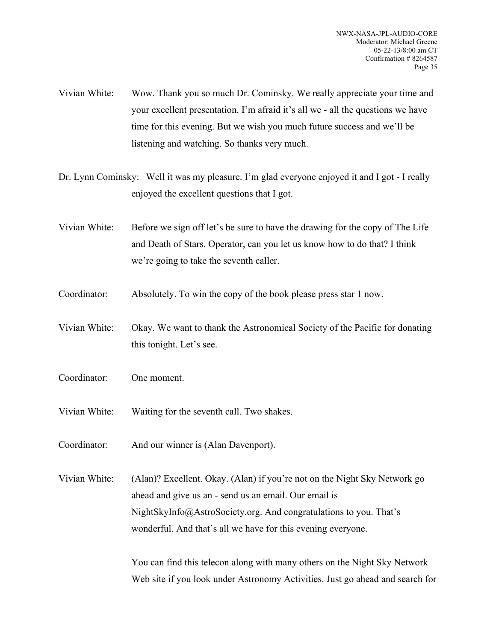- Vivian White: Wow. Thank you so much Dr. Cominsky. We really appreciate your time and your excellent presentation. I'm afraid it's all we - all the questions we have time for this evening. But we wish you much future success and we'll be listening and watching. So thanks very much.
- Dr. Lynn Cominsky: Well it was my pleasure. I'm glad everyone enjoyed it and I got I really enjoyed the excellent questions that I got.
- Vivian White: Before we sign off let's be sure to have the drawing for the copy of The Life and Death of Stars. Operator, can you let us know how to do that? I think we're going to take the seventh caller.
- Coordinator: Absolutely. To win the copy of the book please press star 1 now.
- Vivian White: Okay. We want to thank the Astronomical Society of the Pacific for donating this tonight. Let's see.
- Coordinator: One moment.
- Vivian White: Waiting for the seventh call. Two shakes.
- Coordinator: And our winner is (Alan Davenport).
- Vivian White: (Alan)? Excellent. Okay. (Alan) if you're not on the Night Sky Network go ahead and give us an - send us an email. Our email is NightSkyInfo@AstroSociety.org. And congratulations to you. That's wonderful. And that's all we have for this evening everyone.

You can find this telecon along with many others on the Night Sky Network Web site if you look under Astronomy Activities. Just go ahead and search for